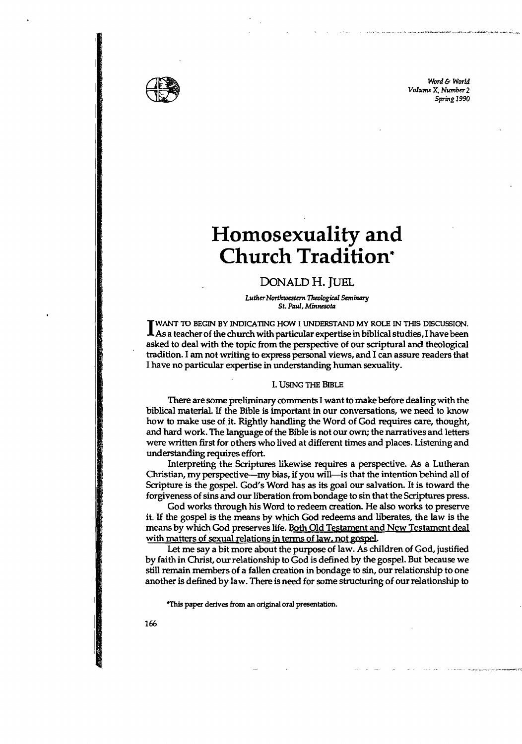

Word & World *Volume* X, *Number 2*  Spring 1990

## **Homosexuality and Church Tradition"**

## DONALD H. JUEL

*LutherNorthwestern TheologicAl* S~iruzry *St. Ptud, Minnesotsl* 

UNANT TO BEGIN BY INDICATING HOW I UNDERSTAND MY ROLE IN THIS DISCUSSION.<br>As a teacher of the church with particular expertise in biblical studies, I have been WANT TO BEGIN BY INDICATING HOW I UNDERSTAND MY ROLE IN THIS DISCUSSION. asked to deal with the topic from the perspective of our scriptural and theological tradition. I am not writing to express personal views, and I can assure readers that I have no particular expertise in understanding human sexuality.

## I. USING THE BIBLE

There are some preliminary comments I want to make before dealing with the biblical material. If the Bible is important in our conversations, we need to know how to make use of it. Rightly handling the Word of God requires care, thought, and hard work. The language of the Bible is not our own; the narratives and letters were written first for others who lived at different times and places. Listening and understanding requires effort.

Interpreting the Scriptures likewise requires a perspective. As a Lutheran Christian, my perspective-my bias, if you will-is that the intention behind all of Scripture is the gospel. God's Word has as its goal our salvation. It is toward the forgiveness of sins and our liberation from bondage to sin that the Scriptures press.

God works through his Word to redeem creation. He also works to preserve it. If the gospel is the means by which God redeems and liberates, the law is the means by which God preserves life. Both Old Testament and New Testament deal with matters of sexual relations in terms of law, not gospel.

Let me say a bit more about the purpose of law. As children of God, justified by faith in Christ, our relationship to God is defined by the gospel. But because we still remain members of a fallen creation in bondage to sin, our relationship to one another is defined by law. There is need for some structuring of our relationship to

"This paper derives from an original oral presentation.

166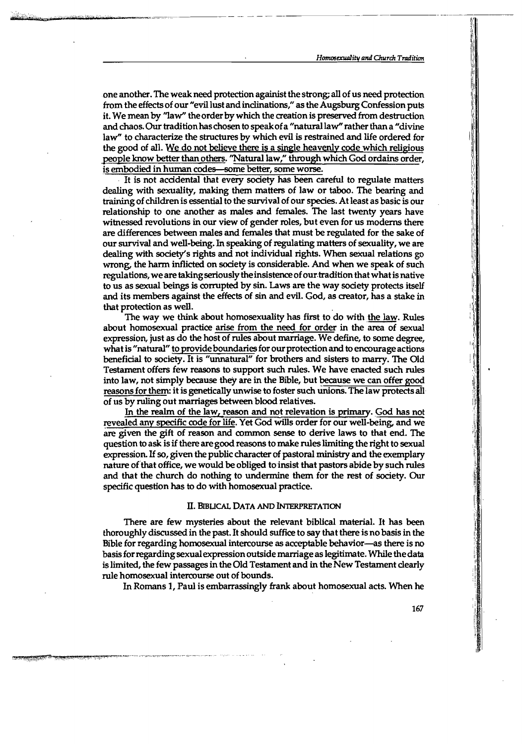one another. The weak need protection againist the strong; all of us need protection from the effects of our "evil lust and inclinations," as the Augsburg Confession puts it. We mean by "law" the order by which the creation is preserved from destruction and chaos. Our tradition has chosen to speak of a "natural law" rather than a "divine law" to characterize the structures by which evil is restrained and life ordered for the good of all. We do not believe there is a single heavenly code which religious people know better than others. "Natural law," through which God ordains order, is embodied in human codes-some better, some worse.

. It is not accidental that every society has been careful to regulate matters dealing with sexuality, making them matters of law or taboo. The bearing and training of children is essential to the survival of our species. At least as basic is our relationship to one another as males and females. The last twenty years have witnessed revolutions in our view of gender roles, but even for us moderns there are differences between males and females that must be regulated for the sake of our survival and well-being. In speaking of regulating matters of sexuality, we are dealing with society's rights and not individual rights. When sexual relations go wrong, the harm inflicted on society is considerable. And when we speak of such regulations, we are taking seriously the insistence of our tradition that what is native to us as sexual beings is corrupted by sin. Laws are the way society protects itself and its members against the effects of sin and evil. God, as creator, has a stake in that protection as well.

The way we think about homosexuality has first to do with the law. Rules about homosexual practice arise from the need for order in the area of sexual expression, just as do the host of rules about marriage. We define, to some degree, what is "natural" to provide boundaries for our protection and to encourage actions beneficial to society. It is "unnatural" for brothers and sisters to marry. The Old Testament offers few reasons to support such rules. We have enacted such rules into law, not simply because they are in the Bible, but because we can offer good reasons for them: it is genetically unwise to foster such unions. The law protects all· of us by ruling out marriages between blood relatives.

In the realm of the law, reason and not relevation is primary. God has not revealed any specific code for life. Yet God wills order for our well-being, and we are given the gift of reason and common sense to derive laws to that end. The question to ask is ifthere aregood reasons to make ruleslimiting the right to sexual expression. If so, given the public character of pastoral ministry and the exemplary nature of that office, we would be obliged to insist that pastors abide by such rules and that the church do nothing to undermine them for the rest of society. Our specific question has to do with homosexual practice.

## II. BIBLICAL DATA AND INTERPRETATION

There are few mysteries about the relevant biblical material. It has been thoroughly discussed in the past. It should suffice to say that there is no basis in the Bible for regarding homosexual intercourse as acceptable behavior-as there is no basisforregardingsexual expression outside marriage as legitimate. While thedata islimited, the few passages in the Old Testament and in the New Testament clearly rule homosexual intercourse out of bounds.

In Romans 1, Paul is embarrassingly frank about homosexual acts. When he

167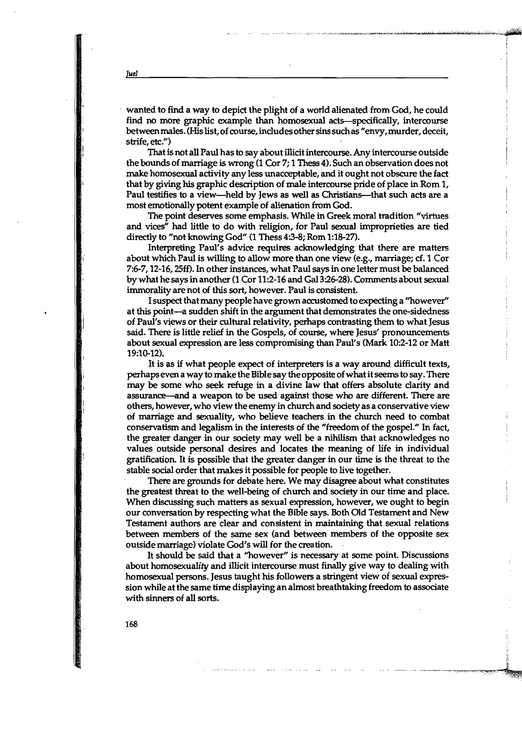. wanted to find a way to depict the plight of a world alienated from God, he could find no more graphic example than homosexual acts—specifically, intercourse betweenmales. (His list, of course, includesothersinssuchas"envy,murder, deceit, strife, etc.")

,.~:'.1:r.",·."",·.":""""'"""","<l"''''\_''''''"''''':L'''t...lOo,'';',''-'''''''~~'''~ ~"'~~i~~,,~~,~ *... .*..,..;;.,~:.~»m4

I I

it

....\_- -..\_ \_.. 7,,,,,.-,=-~ ~.~.~.~

That is not all Paul has to say about illicit intercourse. Any intercourse outside the bounds of marriage is wrong (1 Cor 7; 1 Thess 4). Such an observation does not make homosexual activity any less unacceptable, and it ought not obscure the fact that by giving his graphic description of male intercourse pride of place in Rom 1, Paul testifies to a view-held by Jews as well as Christians-that such acts are a most emotionally potent example of alienation from God.

The point deserves some emphasis. While in Greek moral tradition "virtues and vices" had little to do with religion, for Paul sexual improprieties are tied directly to "not knowing God" (1 Thess 4:3-8; Rom 1:18-27).

Interpreting Paul's advice requires acknowledging that there are matters about which Paul is willing to allow more than one view (e.g., marriage; cf. 1 Cor 7:6-7, 12-16, 25ff). In other instances, what Paul says in one letter must be balanced by what he says in another (1 Cor 11:2-16 and Gal 3:26-28). Comments about sexual immorality are not of this sort, however. Paul is consistent.

I suspect that many people have grown accustomed to expecting a "however" at this point-a sudden shift in the argument that demonstrates the one-sidedness of Paul's views or their cultural relativity, perhaps contrasting them to what Jesus said. There is little relief in the Gospels, of course, where Jesus' pronouncements about sexual expression are less compromising than Paul's (Mark 10:2-12 or Matt 19:10-12).

It is as if what people expect of interpreters is a way around difficult texts, perhaps even a way to make the Bible say the opposite of what it seems to say. There may be some who seek refuge in a divine law that offers absolute clarity and assurance—and a weapon to be used against those who are different. There are others, however, who view the enemy in church and society as a conservative view of marriage and sexuality, who believe teachers in the church need to combat conservatism and legalism in the interests of the "freedom of the gospel!' In fact, the greater danger in our society may well be a nihilism that acknowledges no values outside personal desires and locates the meaning of life in individual gratification. It is possible that the greater danger in our time is the threat to the stable social order that makes it possible for people to live together.

There are grounds for debate here. We may disagree about what constitutes the greatest threat to the well-being of church and society in our time and place. When discussing such matters as sexual expression, however, we ought to begin our conversation by respecting what the Bible says. Both Old Testament and New Testament authors are clear and consistent in maintaining that sexual relations between members of the same sex (and between members of the opposite sex outside marriage) violate God's will for the creation.

It should be said that a "however" is necessary at some point. Discussions about homosexuality and illicit intercourse must finally give way to dealing with homosexual persons. Jesus taught his followers a stringent view of sexual expression while at the same time displaying an almost breathtaking freedom to associate with sinners of all sorts.

168

*lueI*